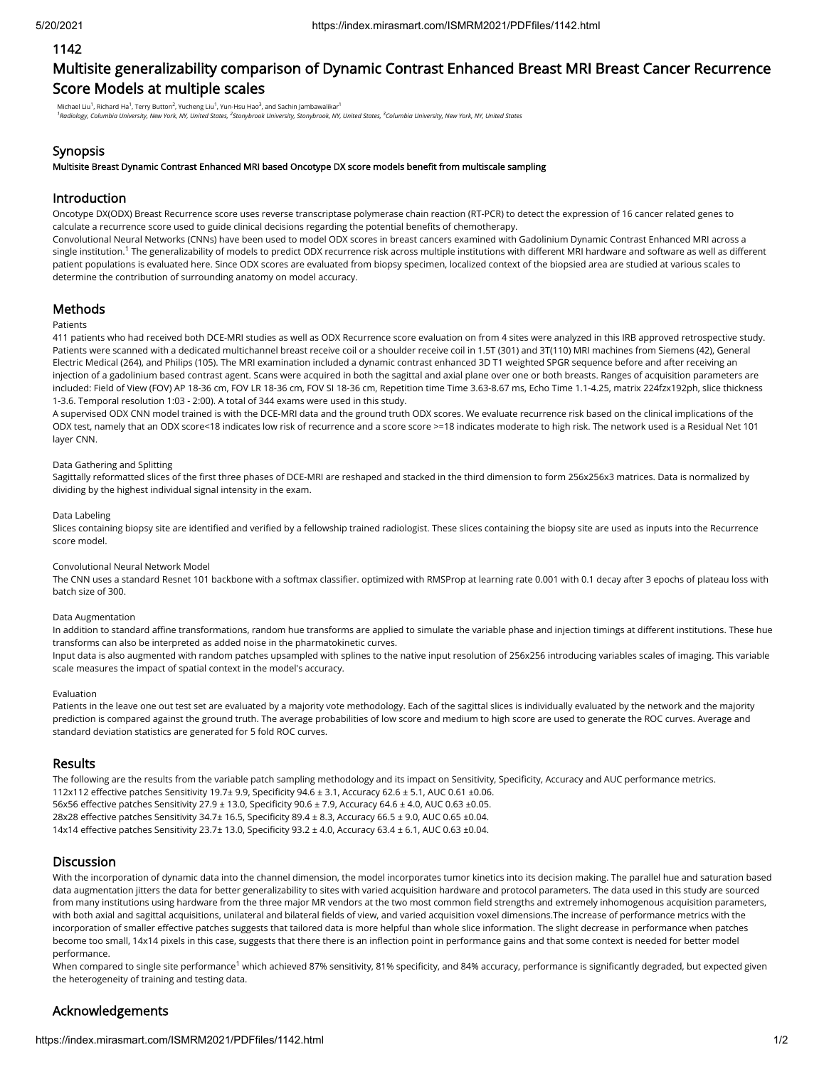### 1142

# Multisite generalizability comparison of Dynamic Contrast Enhanced Breast MRI Breast Cancer Recurrence Score Models at multiple scales

Michael Liu<sup>1</sup>, Richard Ha<sup>1</sup>, Terry Button<sup>2</sup>, Yucheng Liu<sup>1</sup>, Yun-Hsu Hao<sup>3</sup>, and Sachin Jambawalikar<sup>1</sup><br><sup>1</sup>Radiology, Columbia University, New York, NY, United States, <sup>2</sup>Stonybrook University, Stonybrook, NY, United St

### Synopsis

Multisite Breast Dynamic Contrast Enhanced MRI based Oncotype DX score models benefit from multiscale sampling

### Introduction

Oncotype DX(ODX) Breast Recurrence score uses reverse transcriptase polymerase chain reaction (RT-PCR) to detect the expression of 16 cancer related genes to calculate a recurrence score used to guide clinical decisions regarding the potential benefits of chemotherapy.

Convolutional Neural Networks (CNNs) have been used to model ODX scores in breast cancers examined with Gadolinium Dynamic Contrast Enhanced MRI across a single institution.<sup>1</sup> The generalizability of models to predict ODX recurrence risk across multiple institutions with different MRI hardware and software as well as different patient populations is evaluated here. Since ODX scores are evaluated from biopsy specimen, localized context of the biopsied area are studied at various scales to determine the contribution of surrounding anatomy on model accuracy.

### **Methods**

#### Patients

411 patients who had received both DCE-MRI studies as well as ODX Recurrence score evaluation on from 4 sites were analyzed in this IRB approved retrospective study. Patients were scanned with a dedicated multichannel breast receive coil or a shoulder receive coil in 1.5T (301) and 3T(110) MRI machines from Siemens (42), General Electric Medical (264), and Philips (105). The MRI examination included a dynamic contrast enhanced 3D T1 weighted SPGR sequence before and after receiving an injection of a gadolinium based contrast agent. Scans were acquired in both the sagittal and axial plane over one or both breasts. Ranges of acquisition parameters are included: Field of View (FOV) AP 18-36 cm, FOV LR 18-36 cm, FOV SI 18-36 cm, Repetition time Time 3.63-8.67 ms, Echo Time 1.1-4.25, matrix 224fzx192ph, slice thickness 1-3.6. Temporal resolution 1:03 - 2:00). A total of 344 exams were used in this study.

A supervised ODX CNN model trained is with the DCE-MRI data and the ground truth ODX scores. We evaluate recurrence risk based on the clinical implications of the ODX test, namely that an ODX score<18 indicates low risk of recurrence and a score score >=18 indicates moderate to high risk. The network used is a Residual Net 101 layer CNN.

#### Data Gathering and Splitting

Sagittally reformatted slices of the first three phases of DCE-MRI are reshaped and stacked in the third dimension to form 256x256x3 matrices. Data is normalized by dividing by the highest individual signal intensity in the exam.

#### Data Labeling

Slices containing biopsy site are identified and verified by a fellowship trained radiologist. These slices containing the biopsy site are used as inputs into the Recurrence score model.

#### Convolutional Neural Network Model

The CNN uses a standard Resnet 101 backbone with a softmax classifier. optimized with RMSProp at learning rate 0.001 with 0.1 decay after 3 epochs of plateau loss with batch size of 300.

#### Data Augmentation

In addition to standard affine transformations, random hue transforms are applied to simulate the variable phase and injection timings at different institutions. These hue transforms can also be interpreted as added noise in the pharmatokinetic curves.

Input data is also augmented with random patches upsampled with splines to the native input resolution of 256x256 introducing variables scales of imaging. This variable scale measures the impact of spatial context in the model's accuracy.

#### Evaluation

Patients in the leave one out test set are evaluated by a majority vote methodology. Each of the sagittal slices is individually evaluated by the network and the majority prediction is compared against the ground truth. The average probabilities of low score and medium to high score are used to generate the ROC curves. Average and standard deviation statistics are generated for 5 fold ROC curves.

#### **Results**

The following are the results from the variable patch sampling methodology and its impact on Sensitivity, Specificity, Accuracy and AUC performance metrics. 112x112 effective patches Sensitivity 19.7± 9.9, Specificity 94.6 ± 3.1, Accuracy 62.6 ± 5.1, AUC 0.61 ±0.06. 56x56 effective patches Sensitivity 27.9 ± 13.0, Specificity 90.6 ± 7.9, Accuracy 64.6 ± 4.0, AUC 0.63 ±0.05. 28x28 effective patches Sensitivity 34.7± 16.5, Specificity 89.4 ± 8.3, Accuracy 66.5 ± 9.0, AUC 0.65 ±0.04.

14x14 effective patches Sensitivity 23.7± 13.0, Specificity 93.2 ± 4.0, Accuracy 63.4 ± 6.1, AUC 0.63 ±0.04.

### **Discussion**

With the incorporation of dynamic data into the channel dimension, the model incorporates tumor kinetics into its decision making. The parallel hue and saturation based data augmentation jitters the data for better generalizability to sites with varied acquisition hardware and protocol parameters. The data used in this study are sourced from many institutions using hardware from the three major MR vendors at the two most common field strengths and extremely inhomogenous acquisition parameters, with both axial and sagittal acquisitions, unilateral and bilateral fields of view, and varied acquisition voxel dimensions. The increase of performance metrics with the incorporation of smaller effective patches suggests that tailored data is more helpful than whole slice information. The slight decrease in performance when patches become too small, 14x14 pixels in this case, suggests that there there is an inflection point in performance gains and that some context is needed for better model performance.

When compared to single site performance<sup>1</sup> which achieved 87% sensitivity, 81% specificity, and 84% accuracy, performance is significantly degraded, but expected given the heterogeneity of training and testing data.

# Acknowledgements